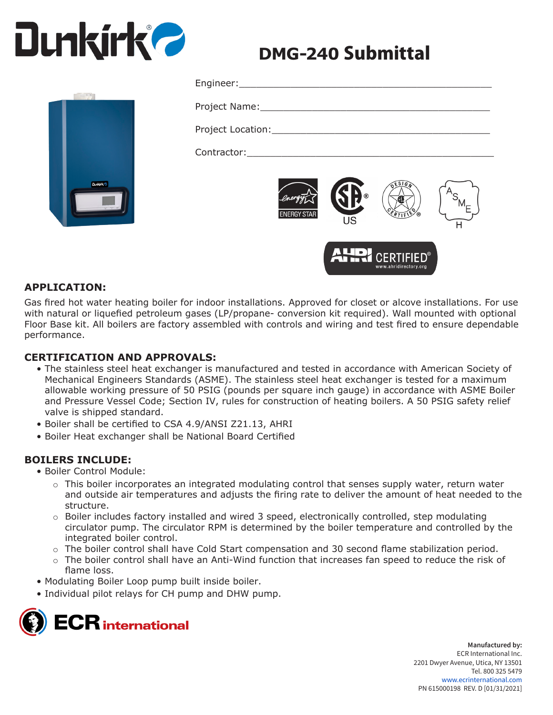# **Dunkirk 2**

## **DMG-240** Submittal

| <b>ENERGY STAR</b> | <b>®</b><br>US | 0550 |  |
|--------------------|----------------|------|--|



### **APPLICATION:**

Gas fired hot water heating boiler for indoor installations. Approved for closet or alcove installations. For use with natural or liquefied petroleum gases (LP/propane- conversion kit required). Wall mounted with optional Floor Base kit. All boilers are factory assembled with controls and wiring and test fired to ensure dependable performance.

#### **CERTIFICATION AND APPROVALS:**

- The stainless steel heat exchanger is manufactured and tested in accordance with American Society of Mechanical Engineers Standards (ASME). The stainless steel heat exchanger is tested for a maximum allowable working pressure of 50 PSIG (pounds per square inch gauge) in accordance with ASME Boiler and Pressure Vessel Code; Section IV, rules for construction of heating boilers. A 50 PSIG safety relief valve is shipped standard.
- Boiler shall be certified to CSA 4.9/ANSI Z21.13, AHRI
- Boiler Heat exchanger shall be National Board Certified

#### **BOILERS INCLUDE:**

- Boiler Control Module:
	- $\circ$  This boiler incorporates an integrated modulating control that senses supply water, return water and outside air temperatures and adjusts the firing rate to deliver the amount of heat needed to the structure.
	- ο Boiler includes factory installed and wired 3 speed, electronically controlled, step modulating circulator pump. The circulator RPM is determined by the boiler temperature and controlled by the integrated boiler control.
	- ο The boiler control shall have Cold Start compensation and 30 second flame stabilization period.
	- $\circ$  The boiler control shall have an Anti-Wind function that increases fan speed to reduce the risk of flame loss.
- Modulating Boiler Loop pump built inside boiler.
- Individual pilot relays for CH pump and DHW pump.

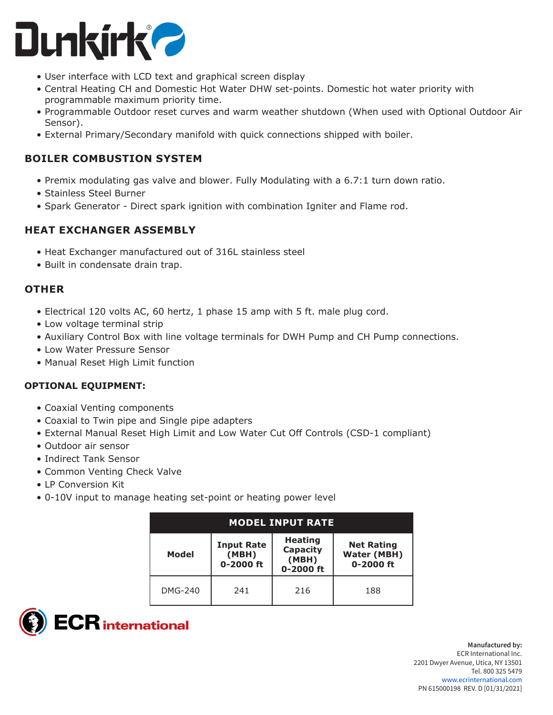

- User interface with LCD text and graphical screen display
- Central Heating CH and Domestic Hot Water DHW set-points. Domestic hot water priority with programmable maximum priority time.
- Programmable Outdoor reset curves and warm weather shutdown (When used with Optional Outdoor Air Sensor).
- External Primary/Secondary manifold with quick connections shipped with boiler.

#### **BOILER COMBUSTION SYSTEM**

- Premix modulating gas valve and blower. Fully Modulating with a 6.7:1 turn down ratio.
- Stainless Steel Burner
- Spark Generator Direct spark ignition with combination Igniter and Flame rod.

#### **HEAT EXCHANGER ASSEMBLY**

- Heat Exchanger manufactured out of 316L stainless steel
- Built in condensate drain trap.

#### **OTHER**

- Electrical 120 volts AC, 60 hertz, 1 phase 15 amp with 5 ft. male plug cord.
- Low voltage terminal strip
- Auxiliary Control Box with line voltage terminals for DWH Pump and CH Pump connections.
- Low Water Pressure Sensor
- Manual Reset High Limit function

#### **OPTIONAL EQUIPMENT:**

- Coaxial Venting components
- Coaxial to Twin pipe and Single pipe adapters
- External Manual Reset High Limit and Low Water Cut Off Controls (CSD-1 compliant)
- Outdoor air sensor
- Indirect Tank Sensor
- Common Venting Check Valve
- LP Conversion Kit
- 0-10V input to manage heating set-point or heating power level

| <b>MODEL INPUT RATE</b> |                                         |                                                  |                                                          |  |
|-------------------------|-----------------------------------------|--------------------------------------------------|----------------------------------------------------------|--|
| <b>Model</b>            | <b>Input Rate</b><br>(MBH)<br>0-2000 ft | <b>Heating</b><br>Capacity<br>(MBH)<br>0-2000 ft | <b>Net Rating</b><br><b>Water (MBH)</b><br>$0 - 2000$ ft |  |
| DMG-240                 | 241                                     | 216                                              | 188                                                      |  |

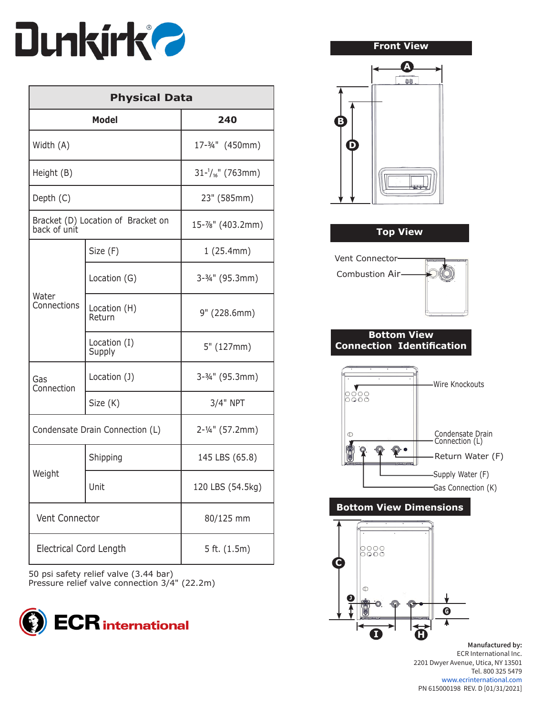

| <b>Physical Data</b>                               |                                 |                     |  |
|----------------------------------------------------|---------------------------------|---------------------|--|
| <b>Model</b>                                       |                                 | 240                 |  |
| Width (A)                                          |                                 | 17-3/4" (450mm)     |  |
| Height (B)                                         |                                 | $31-1/16$ " (763mm) |  |
| Depth (C)                                          |                                 | 23" (585mm)         |  |
| Bracket (D) Location of Bracket on<br>back of unit |                                 | 15-7%" (403.2mm)    |  |
|                                                    | Size (F)                        | 1(25.4mm)           |  |
| Water<br>Connections                               | Location (G)                    | 3-3/4" (95.3mm)     |  |
|                                                    | Location (H)<br>Return          | 9" (228.6mm)        |  |
|                                                    | Location (I)<br>Supply          | 5" (127mm)          |  |
| Gas<br>Connection                                  | Location (J)                    | 3-3/4" (95.3mm)     |  |
|                                                    | Size (K)                        | 3/4" NPT            |  |
|                                                    | Condensate Drain Connection (L) | 2-1/4" (57.2mm)     |  |
| Weight                                             | Shipping                        | 145 LBS (65.8)      |  |
|                                                    | Unit                            | 120 LBS (54.5kg)    |  |
|                                                    | Vent Connector<br>80/125 mm     |                     |  |
| <b>Electrical Cord Length</b><br>5 ft. $(1.5m)$    |                                 |                     |  |

50 psi safety relief valve (3.44 bar) Pressure relief valve connection 3/4" (22.2m)



#### **Front View**



| <b>Top View</b> |
|-----------------|
|-----------------|



#### **Bottom View Connection Identification**



#### **Bottom View Dimensions**



**Manufactured by:** ECR International Inc. 2201 Dwyer Avenue, Utica, NY 13501 Tel. 800 325 5479 www.ecrinternational.com PN 615000198 REV. D [01/31/2021]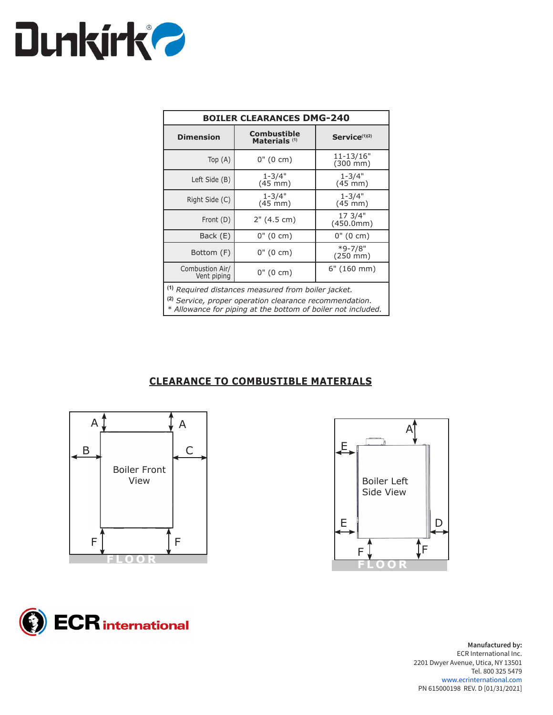

| <b>BOILER CLEARANCES DMG-240</b> |                                                |                                   |  |
|----------------------------------|------------------------------------------------|-----------------------------------|--|
| <b>Dimension</b>                 | <b>Combustible</b><br>Materials <sup>(1)</sup> | Service <sup>(1)(2)</sup>         |  |
| Top $(A)$                        | $0''(0 \text{ cm})$                            | 11-13/16"<br>$(300 \, \text{mm})$ |  |
| Left Side (B)                    | $1 - 3/4"$<br>$(45$ mm $)$                     | $1 - 3/4"$<br>$(45$ mm $)$        |  |
| Right Side (C)                   | $1 - 3/4"$<br>$(45$ mm $)$                     | $1 - 3/4"$<br>$(45 \text{ mm})$   |  |
| Front (D)                        | 2" (4.5 cm)                                    | 17 3/4"<br>(450.0mm)              |  |
| Back (E)                         | $0''(0 \text{ cm})$                            | $0''(0 \text{ cm})$               |  |
| Bottom (F)                       | 0" (0 cm)                                      | $*9 - 7/8"$<br>$(250 \text{ mm})$ |  |
| Combustion Air/<br>Vent piping   | $0"$ (0 cm)                                    | 6" (160 mm)                       |  |

**(1)** *Required distances measured from boiler jacket.*

**(2)** *Service, proper operation clearance recommendation.*

*\* Allowance for piping at the bottom of boiler not included.*

#### **CLEARANCE TO COMBUSTIBLE MATERIALS**







**Manufactured by:** ECR International Inc. 2201 Dwyer Avenue, Utica, NY 13501 Tel. 800 325 5479 www.ecrinternational.com PN 615000198 REV. D [01/31/2021]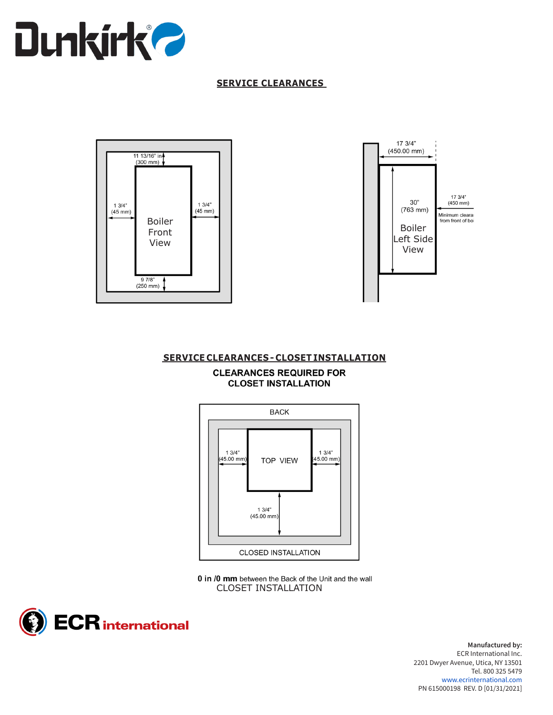

#### **SERVICE CLEARANCES**





#### **SERVICE CLEARANCES - CLOSET INSTALLATION**





0 in /0 mm between the Back of the Unit and the wall CLOSET INSTALLATION



**Manufactured by:** ECR International Inc. 2201 Dwyer Avenue, Utica, NY 13501 Tel. 800 325 5479 www.ecrinternational.com PN 615000198 REV. D [01/31/2021]